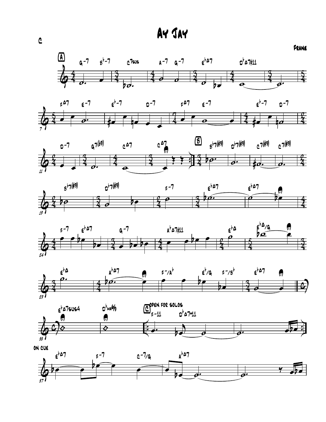Ay Jay















& 37  $\theta$   $\theta$   $\theta$   $\theta$ œ د<br>ما<sub>ع</sub> 7 F -7 <sup>C</sup>  $c - 7/6$ on cue œ  $\theta \bullet \theta'$ A<sup>b</sup>A7 o  $\overline{\bm{b}}$